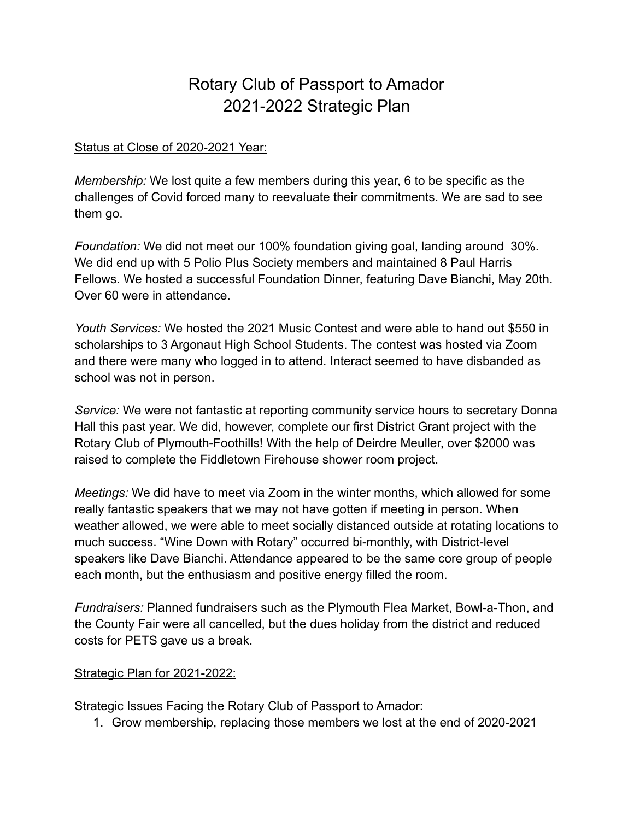# Rotary Club of Passport to Amador 2021-2022 Strategic Plan

#### Status at Close of 2020-2021 Year:

*Membership:* We lost quite a few members during this year, 6 to be specific as the challenges of Covid forced many to reevaluate their commitments. We are sad to see them go.

*Foundation:* We did not meet our 100% foundation giving goal, landing around 30%. We did end up with 5 Polio Plus Society members and maintained 8 Paul Harris Fellows. We hosted a successful Foundation Dinner, featuring Dave Bianchi, May 20th. Over 60 were in attendance.

*Youth Services:* We hosted the 2021 Music Contest and were able to hand out \$550 in scholarships to 3 Argonaut High School Students. The contest was hosted via Zoom and there were many who logged in to attend. Interact seemed to have disbanded as school was not in person.

*Service:* We were not fantastic at reporting community service hours to secretary Donna Hall this past year. We did, however, complete our first District Grant project with the Rotary Club of Plymouth-Foothills! With the help of Deirdre Meuller, over \$2000 was raised to complete the Fiddletown Firehouse shower room project.

*Meetings:* We did have to meet via Zoom in the winter months, which allowed for some really fantastic speakers that we may not have gotten if meeting in person. When weather allowed, we were able to meet socially distanced outside at rotating locations to much success. "Wine Down with Rotary" occurred bi-monthly, with District-level speakers like Dave Bianchi. Attendance appeared to be the same core group of people each month, but the enthusiasm and positive energy filled the room.

*Fundraisers:* Planned fundraisers such as the Plymouth Flea Market, Bowl-a-Thon, and the County Fair were all cancelled, but the dues holiday from the district and reduced costs for PETS gave us a break.

#### Strategic Plan for 2021-2022:

Strategic Issues Facing the Rotary Club of Passport to Amador:

1. Grow membership, replacing those members we lost at the end of 2020-2021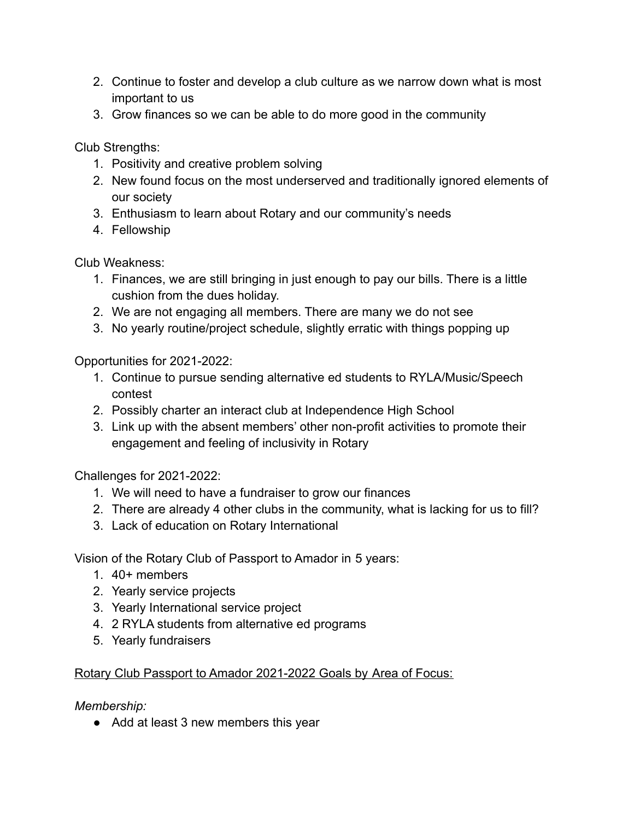- 2. Continue to foster and develop a club culture as we narrow down what is most important to us
- 3. Grow finances so we can be able to do more good in the community

Club Strengths:

- 1. Positivity and creative problem solving
- 2. New found focus on the most underserved and traditionally ignored elements of our society
- 3. Enthusiasm to learn about Rotary and our community's needs
- 4. Fellowship

Club Weakness:

- 1. Finances, we are still bringing in just enough to pay our bills. There is a little cushion from the dues holiday.
- 2. We are not engaging all members. There are many we do not see
- 3. No yearly routine/project schedule, slightly erratic with things popping up

Opportunities for 2021-2022:

- 1. Continue to pursue sending alternative ed students to RYLA/Music/Speech contest
- 2. Possibly charter an interact club at Independence High School
- 3. Link up with the absent members' other non-profit activities to promote their engagement and feeling of inclusivity in Rotary

Challenges for 2021-2022:

- 1. We will need to have a fundraiser to grow our finances
- 2. There are already 4 other clubs in the community, what is lacking for us to fill?
- 3. Lack of education on Rotary International

Vision of the Rotary Club of Passport to Amador in 5 years:

- 1. 40+ members
- 2. Yearly service projects
- 3. Yearly International service project
- 4. 2 RYLA students from alternative ed programs
- 5. Yearly fundraisers

## Rotary Club Passport to Amador 2021-2022 Goals by Area of Focus:

*Membership:*

● Add at least 3 new members this year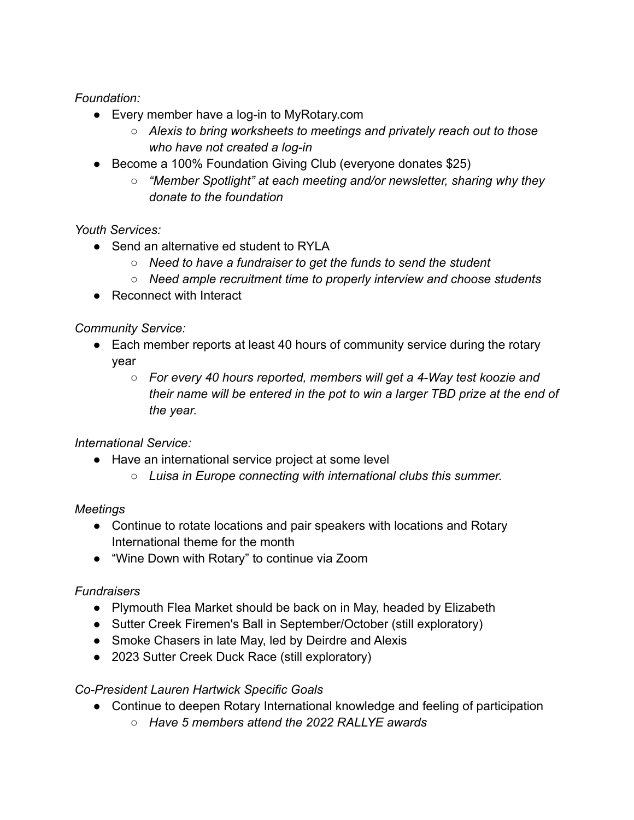*Foundation:*

- Every member have a log-in to MyRotary.com
	- *○ Alexis to bring worksheets to meetings and privately reach out to those who have not created a log-in*
- Become a 100% Foundation Giving Club (everyone donates \$25)
	- *○ "Member Spotlight" at each meeting and/or newsletter, sharing why they donate to the foundation*

*Youth Services:*

- Send an alternative ed student to RYLA
	- *○ Need to have a fundraiser to get the funds to send the student*
	- *○ Need ample recruitment time to properly interview and choose students*
- Reconnect with Interact

*Community Service:*

- Each member reports at least 40 hours of community service during the rotary year
	- *○ For every 40 hours reported, members will get a 4-Way test koozie and their name will be entered in the pot to win a larger TBD prize at the end of the year.*

*International Service:*

- Have an international service project at some level
	- *○ Luisa in Europe connecting with international clubs this summer.*

## *Meetings*

- Continue to rotate locations and pair speakers with locations and Rotary International theme for the month
- "Wine Down with Rotary" to continue via Zoom

## *Fundraisers*

- Plymouth Flea Market should be back on in May, headed by Elizabeth
- Sutter Creek Firemen's Ball in September/October (still exploratory)
- Smoke Chasers in late May, led by Deirdre and Alexis
- 2023 Sutter Creek Duck Race (still exploratory)

## *Co-President Lauren Hartwick Specific Goals*

- Continue to deepen Rotary International knowledge and feeling of participation
	- *○ Have 5 members attend the 2022 RALLYE awards*